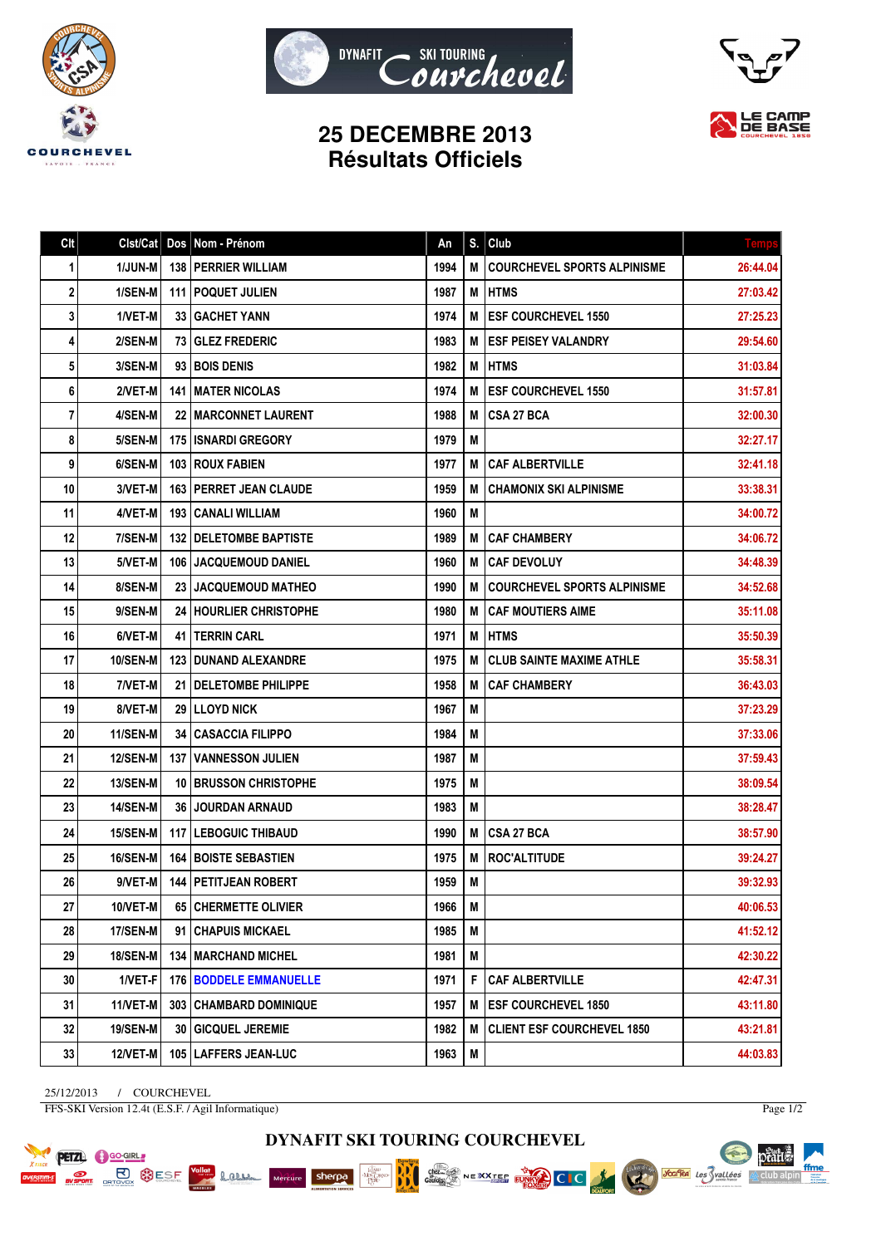





## **25 DECEMBRE 2013 Résultats Officiels**

| Clt | Clst/Cat        |    | Dos Nom - Prénom                | An   | S. | Club                               | <b>Temps</b> |
|-----|-----------------|----|---------------------------------|------|----|------------------------------------|--------------|
| 1   | <b>1/JUN-M</b>  |    | 138   PERRIER WILLIAM           | 1994 | M  | <b>COURCHEVEL SPORTS ALPINISME</b> | 26:44.04     |
| 2   | 1/SEN-M         |    | 111   POQUET JULIEN             | 1987 | М  | <b>HTMS</b>                        | 27:03.42     |
| 3   | 1/VET-M         |    | <b>33   GACHET YANN</b>         | 1974 | М  | <b>ESF COURCHEVEL 1550</b>         | 27:25.23     |
| 4   | 2/SEN-M         |    | <b>73 GLEZ FREDERIC</b>         | 1983 | М  | <b>ESF PEISEY VALANDRY</b>         | 29:54.60     |
| 5   | 3/SEN-M         |    | 93 I BOIS DENIS                 | 1982 | M  | <b>HTMS</b>                        | 31:03.84     |
| 6   | 2/VET-M         |    | <b>141 I MATER NICOLAS</b>      | 1974 | М  | <b>ESF COURCHEVEL 1550</b>         | 31:57.81     |
| 7   | 4/SEN-M         |    | <b>22   MARCONNET LAURENT</b>   | 1988 | M  | <b>CSA 27 BCA</b>                  | 32:00.30     |
| 8   | 5/SEN-M         |    | 175   ISNARDI GREGORY           | 1979 | М  |                                    | 32:27.17     |
| 9   | 6/SEN-M         |    | <b>103 I ROUX FABIEN</b>        | 1977 | М  | <b>CAF ALBERTVILLE</b>             | 32:41.18     |
| 10  | 3/VET-M         |    | <b>163   PERRET JEAN CLAUDE</b> | 1959 | M  | <b>CHAMONIX SKI ALPINISME</b>      | 33:38.31     |
| 11  | 4/VET-M         |    | 193   CANALI WILLIAM            | 1960 | M  |                                    | 34:00.72     |
| 12  | 7/SEN-M         |    | <b>132   DELETOMBE BAPTISTE</b> | 1989 | М  | <b>CAF CHAMBERY</b>                | 34:06.72     |
| 13  | 5/VET-M         |    | 106 JACQUEMOUD DANIEL           | 1960 | M  | <b>CAF DEVOLUY</b>                 | 34:48.39     |
| 14  | 8/SEN-M         |    | 23 JACQUEMOUD MATHEO            | 1990 | М  | <b>COURCHEVEL SPORTS ALPINISME</b> | 34:52.68     |
| 15  | 9/SEN-M         |    | 24   HOURLIER CHRISTOPHE        | 1980 | M  | <b>CAF MOUTIERS AIME</b>           | 35:11.08     |
| 16  | 6/VET-M         |    | <b>41   TERRIN CARL</b>         | 1971 | Μ  | <b>HTMS</b>                        | 35:50.39     |
| 17  | 10/SEN-M        |    | <b>123   DUNAND ALEXANDRE</b>   | 1975 | М  | <b>CLUB SAINTE MAXIME ATHLE</b>    | 35:58.31     |
| 18  | 7/VET-M         |    | 21   DELETOMBE PHILIPPE         | 1958 | М  | <b>CAF CHAMBERY</b>                | 36:43.03     |
| 19  | 8/VET-M         |    | <b>29 ILLOYD NICK</b>           | 1967 | M  |                                    | 37:23.29     |
| 20  | <b>11/SEN-M</b> |    | <b>34   CASACCIA FILIPPO</b>    | 1984 | М  |                                    | 37:33.06     |
| 21  | <b>12/SEN-M</b> |    | <b>137   VANNESSON JULIEN</b>   | 1987 | M  |                                    | 37:59.43     |
| 22  | 13/SEN-M        |    | <b>10 IBRUSSON CHRISTOPHE</b>   | 1975 | M  |                                    | 38:09.54     |
| 23  | 14/SEN-M        |    | <b>36 JJOURDAN ARNAUD</b>       | 1983 | М  |                                    | 38:28.47     |
| 24  | 15/SEN-M        |    | <b>117   LEBOGUIC THIBAUD</b>   | 1990 | M  | CSA 27 BCA                         | 38:57.90     |
| 25  | 16/SEN-M        |    | <b>164   BOISTE SEBASTIEN</b>   | 1975 | M  | <b>ROC'ALTITUDE</b>                | 39:24.27     |
| 26  | 9/VET-M         |    | <b>144   PETITJEAN ROBERT</b>   | 1959 | M  |                                    | 39:32.93     |
| 27  | 10/VET-M        |    | 65 CHERMETTE OLIVIER            | 1966 | M  |                                    | 40:06.53     |
| 28  | 17/SEN-M        |    | 91   CHAPUIS MICKAEL            | 1985 | M  |                                    | 41:52.12     |
| 29  | <b>18/SEN-M</b> |    | <b>134   MARCHAND MICHEL</b>    | 1981 | M  |                                    | 42:30.22     |
| 30  | 1/VET-F         |    | <b>176   BODDELE EMMANUELLE</b> | 1971 | F  | <b>CAF ALBERTVILLE</b>             | 42:47.31     |
| 31  | 11/VET-M        |    | <b>303   CHAMBARD DOMINIQUE</b> | 1957 | M  | <b>ESF COURCHEVEL 1850</b>         | 43:11.80     |
| 32  | <b>19/SEN-M</b> | 30 | <b>GICQUEL JEREMIE</b>          | 1982 | M  | <b>CLIENT ESF COURCHEVEL 1850</b>  | 43:21.81     |
| 33  | 12/VET-M        |    | 105   LAFFERS JEAN-LUC          | 1963 | M  |                                    | 44:03.83     |

25/12/2013 / COURCHEVEL FFS-SKI Version 12.4t (E.S.F. / Agil Informatique)

**PETZL C** GO-GIRL **PLACE BURGESE**  Page 1/2

pearts.

 $\mathbb{A}$  club alpin

**Jouries** Les Svallées

ffme

**DYNAFIT SKI TOURING COURCHEVEL**

Chez...<br>Gaulois

NEXXTER FUND CIC

**BBC** 



Lamen